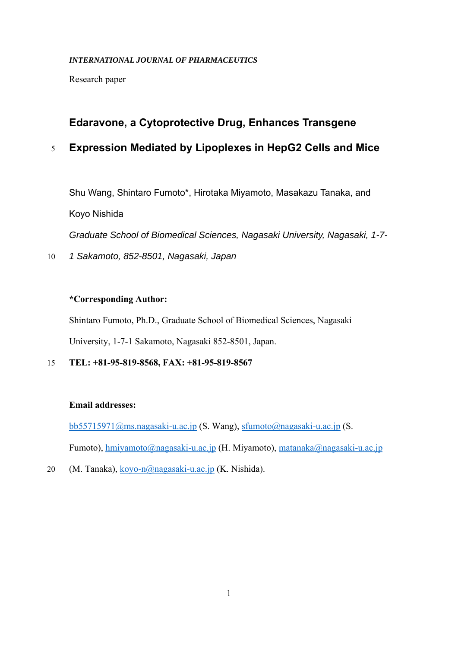#### *INTERNATIONAL JOURNAL OF PHARMACEUTICS*

Research paper

## **Edaravone, a Cytoprotective Drug, Enhances Transgene**

# 5 **Expression Mediated by Lipoplexes in HepG2 Cells and Mice**

Shu Wang, Shintaro Fumoto\*, Hirotaka Miyamoto, Masakazu Tanaka, and Koyo Nishida

*Graduate School of Biomedical Sciences, Nagasaki University, Nagasaki, 1-7-*

10 *1 Sakamoto, 852-8501, Nagasaki, Japan* 

## **\*Corresponding Author:**

Shintaro Fumoto, Ph.D., Graduate School of Biomedical Sciences, Nagasaki University, 1-7-1 Sakamoto, Nagasaki 852-8501, Japan.

15 **TEL: +81-95-819-8568, FAX: +81-95-819-8567** 

## **Email addresses:**

bb55715971@ms.nagasaki-u.ac.jp (S. Wang), sfumoto@nagasaki-u.ac.jp (S. Fumoto), hmiyamoto@nagasaki-u.ac.jp (H. Miyamoto), matanaka@nagasaki-u.ac.jp

20 (M. Tanaka), koyo-n@nagasaki-u.ac.jp (K. Nishida).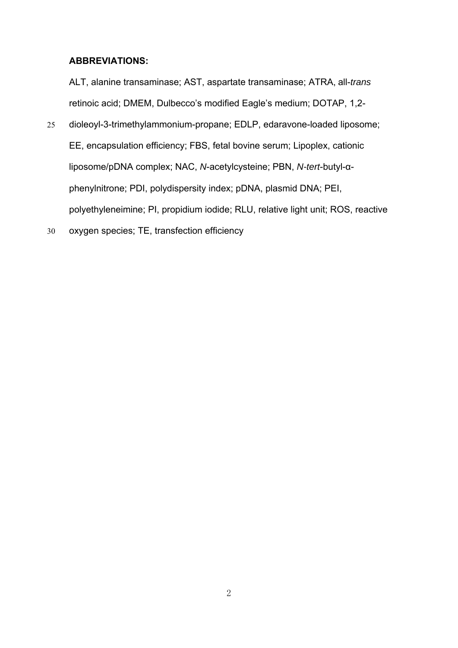#### **ABBREVIATIONS:**

ALT, alanine transaminase; AST, aspartate transaminase; ATRA, all-*trans* retinoic acid; DMEM, Dulbecco's modified Eagle's medium; DOTAP, 1,2-

- 25 dioleoyl-3-trimethylammonium-propane; EDLP, edaravone-loaded liposome; EE, encapsulation efficiency; FBS, fetal bovine serum; Lipoplex, cationic liposome/pDNA complex; NAC, *N*-acetylcysteine; PBN, *N-tert*-butyl-αphenylnitrone; PDI, polydispersity index; pDNA, plasmid DNA; PEI, polyethyleneimine; PI, propidium iodide; RLU, relative light unit; ROS, reactive
- 30 oxygen species; TE, transfection efficiency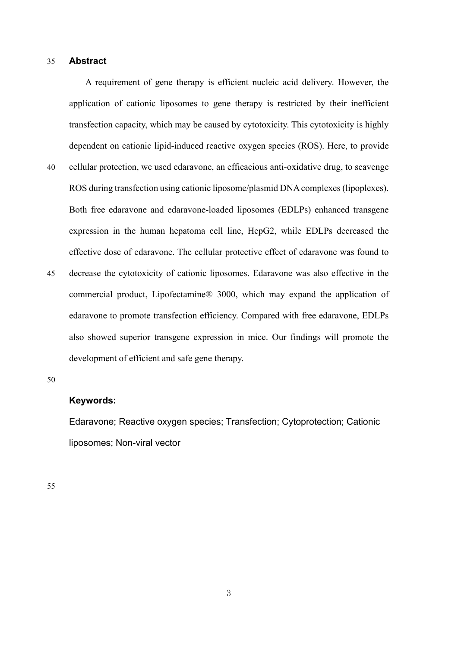#### 35 **Abstract**

A requirement of gene therapy is efficient nucleic acid delivery. However, the application of cationic liposomes to gene therapy is restricted by their inefficient transfection capacity, which may be caused by cytotoxicity. This cytotoxicity is highly dependent on cationic lipid-induced reactive oxygen species (ROS). Here, to provide 40 cellular protection, we used edaravone, an efficacious anti-oxidative drug, to scavenge ROS during transfection using cationic liposome/plasmid DNA complexes (lipoplexes). Both free edaravone and edaravone-loaded liposomes (EDLPs) enhanced transgene expression in the human hepatoma cell line, HepG2, while EDLPs decreased the effective dose of edaravone. The cellular protective effect of edaravone was found to 45 decrease the cytotoxicity of cationic liposomes. Edaravone was also effective in the commercial product, Lipofectamine® 3000, which may expand the application of edaravone to promote transfection efficiency. Compared with free edaravone, EDLPs

also showed superior transgene expression in mice. Our findings will promote the development of efficient and safe gene therapy.

50

## **Keywords:**

Edaravone; Reactive oxygen species; Transfection; Cytoprotection; Cationic liposomes; Non-viral vector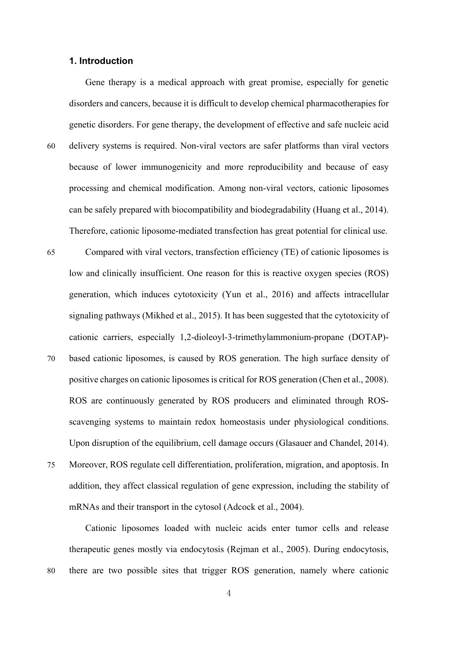#### **1. Introduction**

Gene therapy is a medical approach with great promise, especially for genetic disorders and cancers, because it is difficult to develop chemical pharmacotherapies for genetic disorders. For gene therapy, the development of effective and safe nucleic acid 60 delivery systems is required. Non-viral vectors are safer platforms than viral vectors

- because of lower immunogenicity and more reproducibility and because of easy processing and chemical modification. Among non-viral vectors, cationic liposomes can be safely prepared with biocompatibility and biodegradability (Huang et al., 2014). Therefore, cationic liposome-mediated transfection has great potential for clinical use.
- 65 Compared with viral vectors, transfection efficiency (TE) of cationic liposomes is low and clinically insufficient. One reason for this is reactive oxygen species (ROS) generation, which induces cytotoxicity (Yun et al., 2016) and affects intracellular signaling pathways (Mikhed et al., 2015). It has been suggested that the cytotoxicity of cationic carriers, especially 1,2-dioleoyl-3-trimethylammonium-propane (DOTAP)- 70 based cationic liposomes, is caused by ROS generation. The high surface density of
- positive charges on cationic liposomes is critical for ROS generation (Chen et al., 2008). ROS are continuously generated by ROS producers and eliminated through ROSscavenging systems to maintain redox homeostasis under physiological conditions. Upon disruption of the equilibrium, cell damage occurs (Glasauer and Chandel, 2014). 75 Moreover, ROS regulate cell differentiation, proliferation, migration, and apoptosis. In
	- addition, they affect classical regulation of gene expression, including the stability of mRNAs and their transport in the cytosol (Adcock et al., 2004).

Cationic liposomes loaded with nucleic acids enter tumor cells and release therapeutic genes mostly via endocytosis (Rejman et al., 2005). During endocytosis, 80 there are two possible sites that trigger ROS generation, namely where cationic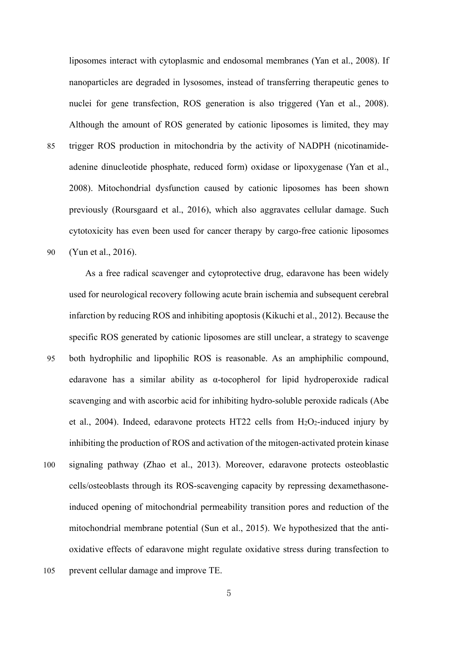liposomes interact with cytoplasmic and endosomal membranes (Yan et al., 2008). If nanoparticles are degraded in lysosomes, instead of transferring therapeutic genes to nuclei for gene transfection, ROS generation is also triggered (Yan et al., 2008). Although the amount of ROS generated by cationic liposomes is limited, they may 85 trigger ROS production in mitochondria by the activity of NADPH (nicotinamideadenine dinucleotide phosphate, reduced form) oxidase or lipoxygenase (Yan et al., 2008). Mitochondrial dysfunction caused by cationic liposomes has been shown previously (Roursgaard et al., 2016), which also aggravates cellular damage. Such cytotoxicity has even been used for cancer therapy by cargo-free cationic liposomes 90 (Yun et al., 2016).

As a free radical scavenger and cytoprotective drug, edaravone has been widely used for neurological recovery following acute brain ischemia and subsequent cerebral infarction by reducing ROS and inhibiting apoptosis (Kikuchi et al., 2012). Because the specific ROS generated by cationic liposomes are still unclear, a strategy to scavenge 95 both hydrophilic and lipophilic ROS is reasonable. As an amphiphilic compound, edaravone has a similar ability as α-tocopherol for lipid hydroperoxide radical scavenging and with ascorbic acid for inhibiting hydro-soluble peroxide radicals (Abe et al., 2004). Indeed, edaravone protects HT22 cells from  $H_2O_2$ -induced injury by inhibiting the production of ROS and activation of the mitogen-activated protein kinase 100 signaling pathway (Zhao et al., 2013). Moreover, edaravone protects osteoblastic cells/osteoblasts through its ROS-scavenging capacity by repressing dexamethasoneinduced opening of mitochondrial permeability transition pores and reduction of the mitochondrial membrane potential (Sun et al., 2015). We hypothesized that the antioxidative effects of edaravone might regulate oxidative stress during transfection to 105 prevent cellular damage and improve TE.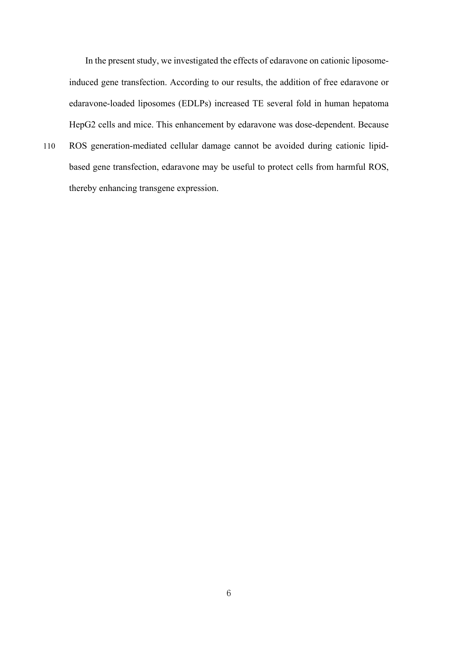In the present study, we investigated the effects of edaravone on cationic liposomeinduced gene transfection. According to our results, the addition of free edaravone or edaravone-loaded liposomes (EDLPs) increased TE several fold in human hepatoma HepG2 cells and mice. This enhancement by edaravone was dose-dependent. Because

110 ROS generation-mediated cellular damage cannot be avoided during cationic lipidbased gene transfection, edaravone may be useful to protect cells from harmful ROS, thereby enhancing transgene expression.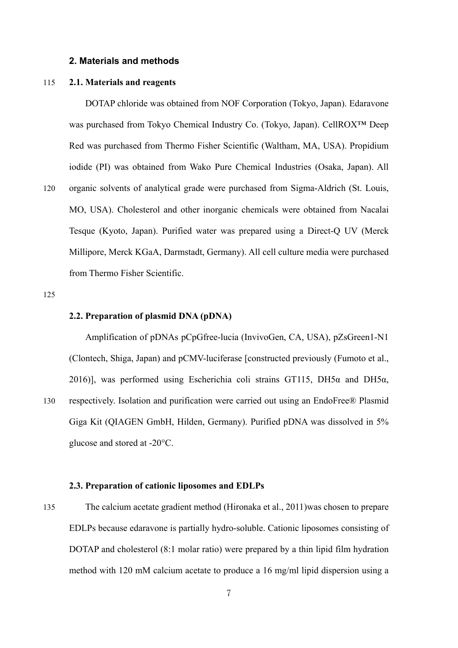#### **2. Materials and methods**

#### 115 **2.1. Materials and reagents**

DOTAP chloride was obtained from NOF Corporation (Tokyo, Japan). Edaravone was purchased from Tokyo Chemical Industry Co. (Tokyo, Japan). CellROX™ Deep Red was purchased from Thermo Fisher Scientific (Waltham, MA, USA). Propidium iodide (PI) was obtained from Wako Pure Chemical Industries (Osaka, Japan). All 120 organic solvents of analytical grade were purchased from Sigma-Aldrich (St. Louis,

MO, USA). Cholesterol and other inorganic chemicals were obtained from Nacalai Tesque (Kyoto, Japan). Purified water was prepared using a Direct-Q UV (Merck Millipore, Merck KGaA, Darmstadt, Germany). All cell culture media were purchased from Thermo Fisher Scientific.

125

#### **2.2. Preparation of plasmid DNA (pDNA)**

Amplification of pDNAs pCpGfree-lucia (InvivoGen, CA, USA), pZsGreen1-N1 (Clontech, Shiga, Japan) and pCMV-luciferase [constructed previously (Fumoto et al., 2016)], was performed using Escherichia coli strains GT115, DH5 $\alpha$  and DH5 $\alpha$ , 130 respectively. Isolation and purification were carried out using an EndoFree® Plasmid Giga Kit (QIAGEN GmbH, Hilden, Germany). Purified pDNA was dissolved in 5% glucose and stored at -20°C.

#### **2.3. Preparation of cationic liposomes and EDLPs**

135 The calcium acetate gradient method (Hironaka et al., 2011)was chosen to prepare EDLPs because edaravone is partially hydro-soluble. Cationic liposomes consisting of DOTAP and cholesterol (8:1 molar ratio) were prepared by a thin lipid film hydration method with 120 mM calcium acetate to produce a 16 mg/ml lipid dispersion using a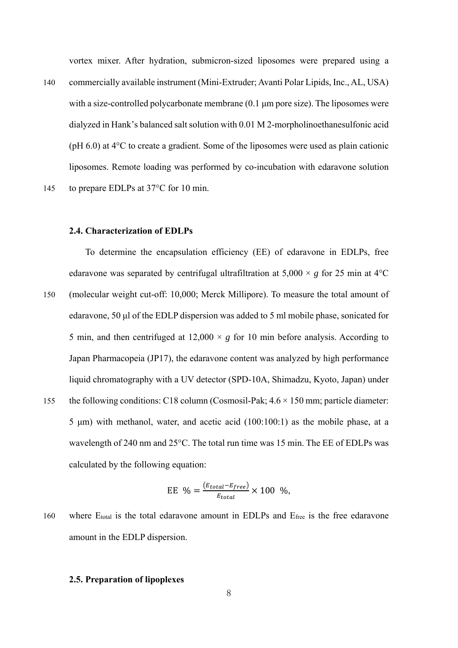vortex mixer. After hydration, submicron-sized liposomes were prepared using a

140 commercially available instrument (Mini-Extruder; Avanti Polar Lipids, Inc., AL, USA) with a size-controlled polycarbonate membrane (0.1 μm pore size). The liposomes were dialyzed in Hank's balanced salt solution with 0.01 M 2-morpholinoethanesulfonic acid (pH 6.0) at 4°C to create a gradient. Some of the liposomes were used as plain cationic liposomes. Remote loading was performed by co-incubation with edaravone solution 145 to prepare EDLPs at 37°C for 10 min.

**2.4. Characterization of EDLPs**

To determine the encapsulation efficiency (EE) of edaravone in EDLPs, free edaravone was separated by centrifugal ultrafiltration at  $5,000 \times g$  for 25 min at 4<sup>o</sup>C 150 (molecular weight cut-off: 10,000; Merck Millipore). To measure the total amount of edaravone, 50 μl of the EDLP dispersion was added to 5 ml mobile phase, sonicated for 5 min, and then centrifuged at  $12,000 \times g$  for 10 min before analysis. According to Japan Pharmacopeia (JP17), the edaravone content was analyzed by high performance liquid chromatography with a UV detector (SPD-10A, Shimadzu, Kyoto, Japan) under 155 the following conditions: C18 column (Cosmosil-Pak;  $4.6 \times 150$  mm; particle diameter: 5 μm) with methanol, water, and acetic acid (100:100:1) as the mobile phase, at a wavelength of 240 nm and 25°C. The total run time was 15 min. The EE of EDLPs was calculated by the following equation:

EE 
$$
\% = \frac{(E_{total} - E_{free})}{E_{total}} \times 100 \%
$$
,

160 where E<sub>total</sub> is the total edaravone amount in EDLPs and E<sub>free</sub> is the free edaravone amount in the EDLP dispersion.

#### **2.5. Preparation of lipoplexes**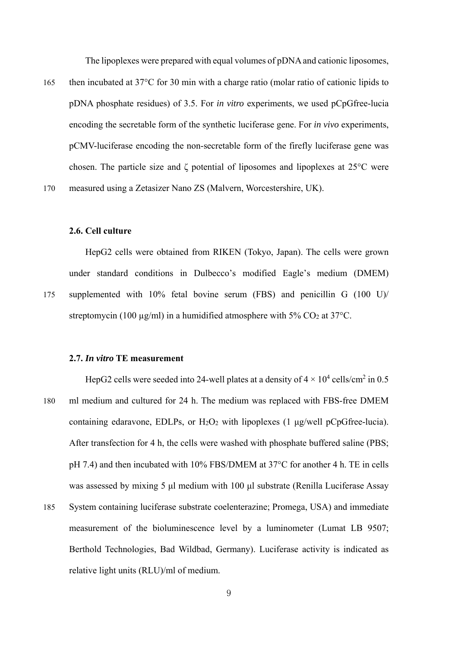The lipoplexes were prepared with equal volumes of pDNA and cationic liposomes,

165 then incubated at 37°C for 30 min with a charge ratio (molar ratio of cationic lipids to pDNA phosphate residues) of 3.5. For *in vitro* experiments, we used pCpGfree-lucia encoding the secretable form of the synthetic luciferase gene. For *in vivo* experiments, pCMV-luciferase encoding the non-secretable form of the firefly luciferase gene was chosen. The particle size and ζ potential of liposomes and lipoplexes at 25°C were 170 measured using a Zetasizer Nano ZS (Malvern, Worcestershire, UK).

#### **2.6. Cell culture**

HepG2 cells were obtained from RIKEN (Tokyo, Japan). The cells were grown under standard conditions in Dulbecco's modified Eagle's medium (DMEM) 175 supplemented with 10% fetal bovine serum (FBS) and penicillin G (100 U)/ streptomycin (100  $\mu$ g/ml) in a humidified atmosphere with 5% CO<sub>2</sub> at 37°C.

#### **2.7.** *In vitro* **TE measurement**

- HepG2 cells were seeded into 24-well plates at a density of  $4 \times 10^4$  cells/cm<sup>2</sup> in 0.5 180 ml medium and cultured for 24 h. The medium was replaced with FBS-free DMEM containing edaravone, EDLPs, or  $H_2O_2$  with lipoplexes (1  $\mu$ g/well pCpGfree-lucia). After transfection for 4 h, the cells were washed with phosphate buffered saline (PBS; pH 7.4) and then incubated with 10% FBS/DMEM at 37°C for another 4 h. TE in cells was assessed by mixing 5 μl medium with 100 μl substrate (Renilla Luciferase Assay 185 System containing luciferase substrate coelenterazine; Promega, USA) and immediate measurement of the bioluminescence level by a luminometer (Lumat LB 9507;
	- Berthold Technologies, Bad Wildbad, Germany). Luciferase activity is indicated as relative light units (RLU)/ml of medium.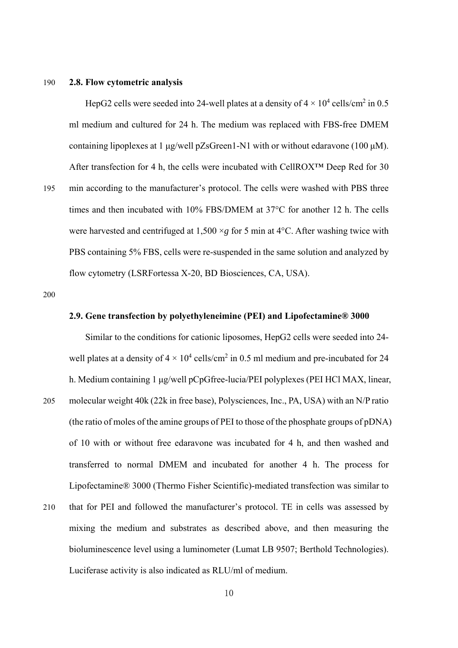#### 190 **2.8. Flow cytometric analysis**

HepG2 cells were seeded into 24-well plates at a density of  $4 \times 10^4$  cells/cm<sup>2</sup> in 0.5 ml medium and cultured for 24 h. The medium was replaced with FBS-free DMEM containing lipoplexes at 1  $\mu$ g/well pZsGreen1-N1 with or without edaravone (100  $\mu$ M). After transfection for 4 h, the cells were incubated with CellROX™ Deep Red for 30 195 min according to the manufacturer's protocol. The cells were washed with PBS three times and then incubated with 10% FBS/DMEM at 37°C for another 12 h. The cells were harvested and centrifuged at  $1,500 \times g$  for 5 min at 4<sup>o</sup>C. After washing twice with PBS containing 5% FBS, cells were re-suspended in the same solution and analyzed by flow cytometry (LSRFortessa X-20, BD Biosciences, CA, USA).

200

#### **2.9. Gene transfection by polyethyleneimine (PEI) and Lipofectamine® 3000**

Similar to the conditions for cationic liposomes, HepG2 cells were seeded into 24 well plates at a density of  $4 \times 10^4$  cells/cm<sup>2</sup> in 0.5 ml medium and pre-incubated for 24 h. Medium containing 1 μg/well pCpGfree-lucia/PEI polyplexes (PEI HCl MAX, linear, 205 molecular weight 40k (22k in free base), Polysciences, Inc., PA, USA) with an N/P ratio (the ratio of moles of the amine groups of PEI to those of the phosphate groups of pDNA) of 10 with or without free edaravone was incubated for 4 h, and then washed and transferred to normal DMEM and incubated for another 4 h. The process for Lipofectamine® 3000 (Thermo Fisher Scientific)-mediated transfection was similar to 210 that for PEI and followed the manufacturer's protocol. TE in cells was assessed by mixing the medium and substrates as described above, and then measuring the bioluminescence level using a luminometer (Lumat LB 9507; Berthold Technologies). Luciferase activity is also indicated as RLU/ml of medium.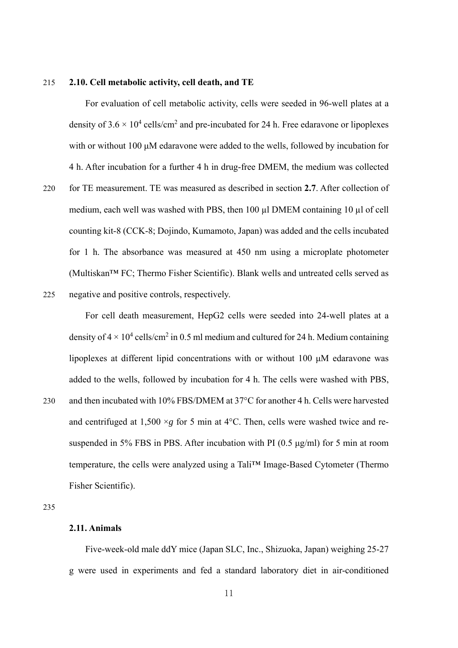#### 215 **2.10. Cell metabolic activity, cell death, and TE**

For evaluation of cell metabolic activity, cells were seeded in 96-well plates at a density of  $3.6 \times 10^4$  cells/cm<sup>2</sup> and pre-incubated for 24 h. Free edaravone or lipoplexes with or without 100 μM edaravone were added to the wells, followed by incubation for 4 h. After incubation for a further 4 h in drug-free DMEM, the medium was collected

- 220 for TE measurement. TE was measured as described in section **2.7**. After collection of medium, each well was washed with PBS, then 100 µl DMEM containing 10 µl of cell counting kit-8 (CCK-8; Dojindo, Kumamoto, Japan) was added and the cells incubated for 1 h. The absorbance was measured at 450 nm using a microplate photometer (Multiskan™ FC; Thermo Fisher Scientific). Blank wells and untreated cells served as 225 negative and positive controls, respectively.
- 

For cell death measurement, HepG2 cells were seeded into 24-well plates at a density of  $4 \times 10^4$  cells/cm<sup>2</sup> in 0.5 ml medium and cultured for 24 h. Medium containing lipoplexes at different lipid concentrations with or without 100 μM edaravone was added to the wells, followed by incubation for 4 h. The cells were washed with PBS, 230 and then incubated with 10% FBS/DMEM at 37°C for another 4 h. Cells were harvested and centrifuged at 1,500  $\times$ *g* for 5 min at 4 $\degree$ C. Then, cells were washed twice and resuspended in 5% FBS in PBS. After incubation with PI  $(0.5 \mu g/ml)$  for 5 min at room temperature, the cells were analyzed using a Tali™ Image-Based Cytometer (Thermo Fisher Scientific).

235

## **2.11. Animals**

Five-week-old male ddY mice (Japan SLC, Inc., Shizuoka, Japan) weighing 25-27 g were used in experiments and fed a standard laboratory diet in air-conditioned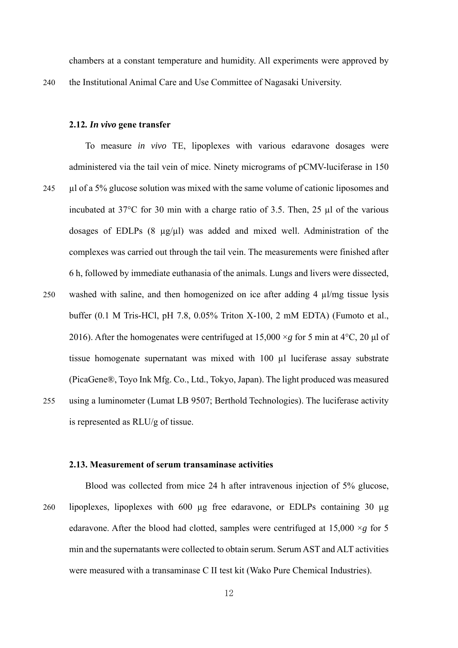chambers at a constant temperature and humidity. All experiments were approved by

240 the Institutional Animal Care and Use Committee of Nagasaki University.

#### **2.12***. In vivo* **gene transfer**

To measure *in vivo* TE, lipoplexes with various edaravone dosages were administered via the tail vein of mice. Ninety micrograms of pCMV-luciferase in 150 245 µl of a 5% glucose solution was mixed with the same volume of cationic liposomes and incubated at 37°C for 30 min with a charge ratio of 3.5. Then, 25 µl of the various dosages of EDLPs  $(8 \mu g/\mu l)$  was added and mixed well. Administration of the complexes was carried out through the tail vein. The measurements were finished after 6 h, followed by immediate euthanasia of the animals. Lungs and livers were dissected, 250 washed with saline, and then homogenized on ice after adding 4 µl/mg tissue lysis buffer (0.1 M Tris-HCl, pH 7.8, 0.05% Triton X-100, 2 mM EDTA) (Fumoto et al., 2016). After the homogenates were centrifuged at  $15,000 \times g$  for 5 min at  $4^{\circ}$ C, 20 µl of tissue homogenate supernatant was mixed with 100 µl luciferase assay substrate (PicaGene®, Toyo Ink Mfg. Co., Ltd., Tokyo, Japan). The light produced was measured 255 using a luminometer (Lumat LB 9507; Berthold Technologies). The luciferase activity is represented as RLU/g of tissue.

#### **2.13. Measurement of serum transaminase activities**

Blood was collected from mice 24 h after intravenous injection of 5% glucose, 260 lipoplexes, lipoplexes with 600 µg free edaravone, or EDLPs containing 30 µg edaravone. After the blood had clotted, samples were centrifuged at  $15,000 \times g$  for 5 min and the supernatants were collected to obtain serum. Serum AST and ALT activities were measured with a transaminase C II test kit (Wako Pure Chemical Industries).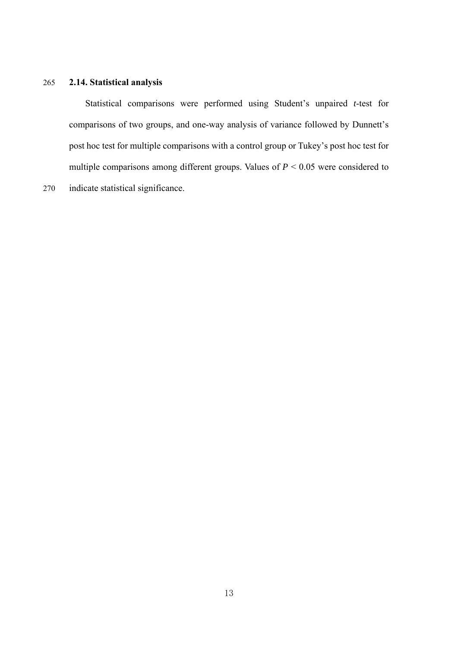## 265 **2.14. Statistical analysis**

Statistical comparisons were performed using Student's unpaired *t*-test for comparisons of two groups, and one-way analysis of variance followed by Dunnett's post hoc test for multiple comparisons with a control group or Tukey's post hoc test for multiple comparisons among different groups. Values of  $P < 0.05$  were considered to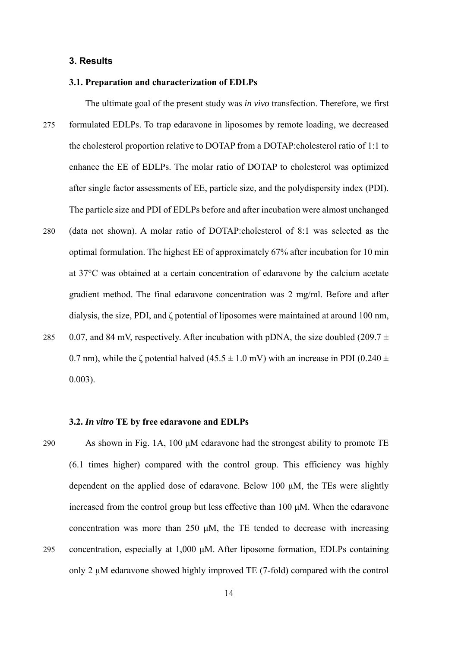#### **3. Results**

#### **3.1. Preparation and characterization of EDLPs**

- The ultimate goal of the present study was *in vivo* transfection. Therefore, we first 275 formulated EDLPs. To trap edaravone in liposomes by remote loading, we decreased the cholesterol proportion relative to DOTAP from a DOTAP:cholesterol ratio of 1:1 to enhance the EE of EDLPs. The molar ratio of DOTAP to cholesterol was optimized after single factor assessments of EE, particle size, and the polydispersity index (PDI). The particle size and PDI of EDLPs before and after incubation were almost unchanged
- 280 (data not shown). A molar ratio of DOTAP:cholesterol of 8:1 was selected as the optimal formulation. The highest EE of approximately 67% after incubation for 10 min at 37°C was obtained at a certain concentration of edaravone by the calcium acetate gradient method. The final edaravone concentration was 2 mg/ml. Before and after dialysis, the size, PDI, and ζ potential of liposomes were maintained at around 100 nm, 285 0.07, and 84 mV, respectively. After incubation with pDNA, the size doubled (209.7  $\pm$ 0.7 nm), while the  $\zeta$  potential halved (45.5  $\pm$  1.0 mV) with an increase in PDI (0.240  $\pm$ 0.003).

#### **3.2.** *In vitro* **TE by free edaravone and EDLPs**

290 As shown in Fig. 1A, 100  $\mu$ M edaravone had the strongest ability to promote TE (6.1 times higher) compared with the control group. This efficiency was highly dependent on the applied dose of edaravone. Below 100 μM, the TEs were slightly increased from the control group but less effective than 100 μM. When the edaravone concentration was more than 250 μM, the TE tended to decrease with increasing 295 concentration, especially at 1,000 μM. After liposome formation, EDLPs containing only 2 μM edaravone showed highly improved TE (7-fold) compared with the control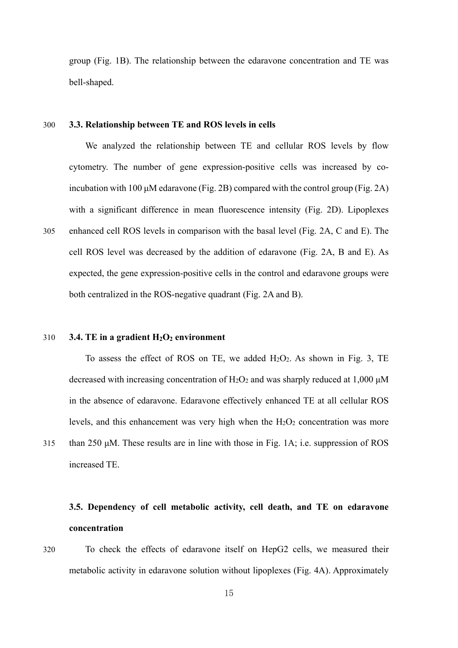group (Fig. 1B). The relationship between the edaravone concentration and TE was bell-shaped.

#### 300 **3.3. Relationship between TE and ROS levels in cells**

We analyzed the relationship between TE and cellular ROS levels by flow cytometry. The number of gene expression-positive cells was increased by coincubation with 100 μM edaravone (Fig. 2B) compared with the control group (Fig. 2A) with a significant difference in mean fluorescence intensity (Fig. 2D). Lipoplexes 305 enhanced cell ROS levels in comparison with the basal level (Fig. 2A, C and E). The cell ROS level was decreased by the addition of edaravone (Fig. 2A, B and E). As expected, the gene expression-positive cells in the control and edaravone groups were both centralized in the ROS-negative quadrant (Fig. 2A and B).

#### 310 **3.4. TE in a gradient H2O2 environment**

To assess the effect of ROS on TE, we added H2O2. As shown in Fig. 3, TE decreased with increasing concentration of  $H_2O_2$  and was sharply reduced at 1,000  $\mu$ M in the absence of edaravone. Edaravone effectively enhanced TE at all cellular ROS levels, and this enhancement was very high when the  $H_2O_2$  concentration was more 315 than 250 μM. These results are in line with those in Fig. 1A; i.e. suppression of ROS increased TE.

# **3.5. Dependency of cell metabolic activity, cell death, and TE on edaravone concentration**

320 To check the effects of edaravone itself on HepG2 cells, we measured their metabolic activity in edaravone solution without lipoplexes (Fig. 4A). Approximately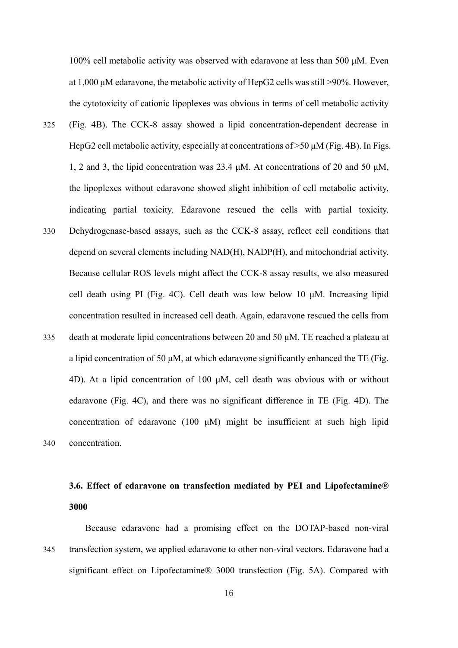100% cell metabolic activity was observed with edaravone at less than 500 μM. Even at 1,000 μM edaravone, the metabolic activity of HepG2 cells was still >90%. However, the cytotoxicity of cationic lipoplexes was obvious in terms of cell metabolic activity

- 325 (Fig. 4B). The CCK-8 assay showed a lipid concentration-dependent decrease in HepG2 cell metabolic activity, especially at concentrations of >50 μM (Fig. 4B). In Figs. 1, 2 and 3, the lipid concentration was 23.4 μM. At concentrations of 20 and 50 μM, the lipoplexes without edaravone showed slight inhibition of cell metabolic activity, indicating partial toxicity. Edaravone rescued the cells with partial toxicity.
- 330 Dehydrogenase-based assays, such as the CCK-8 assay, reflect cell conditions that depend on several elements including NAD(H), NADP(H), and mitochondrial activity. Because cellular ROS levels might affect the CCK-8 assay results, we also measured cell death using PI (Fig. 4C). Cell death was low below 10 μM. Increasing lipid concentration resulted in increased cell death. Again, edaravone rescued the cells from 335 death at moderate lipid concentrations between 20 and 50  $\mu$ M. TE reached a plateau at a lipid concentration of 50 μM, at which edaravone significantly enhanced the TE (Fig. 4D). At a lipid concentration of 100 μM, cell death was obvious with or without edaravone (Fig. 4C), and there was no significant difference in TE (Fig. 4D). The concentration of edaravone (100 μM) might be insufficient at such high lipid 340 concentration.

# **3.6. Effect of edaravone on transfection mediated by PEI and Lipofectamine® 3000**

Because edaravone had a promising effect on the DOTAP-based non-viral 345 transfection system, we applied edaravone to other non-viral vectors. Edaravone had a significant effect on Lipofectamine® 3000 transfection (Fig. 5A). Compared with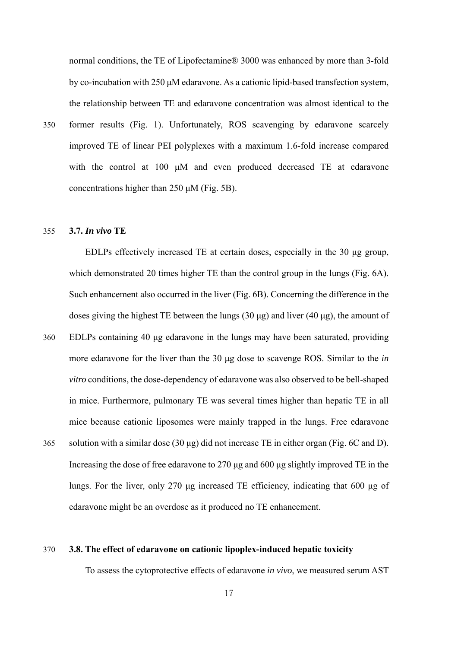normal conditions, the TE of Lipofectamine® 3000 was enhanced by more than 3-fold by co-incubation with 250 μM edaravone. As a cationic lipid-based transfection system, the relationship between TE and edaravone concentration was almost identical to the

350 former results (Fig. 1). Unfortunately, ROS scavenging by edaravone scarcely improved TE of linear PEI polyplexes with a maximum 1.6-fold increase compared with the control at 100 μM and even produced decreased TE at edaravone concentrations higher than 250 μM (Fig. 5B).

#### 355 **3.7.** *In vivo* **TE**

EDLPs effectively increased TE at certain doses, especially in the 30 μg group, which demonstrated 20 times higher TE than the control group in the lungs (Fig. 6A). Such enhancement also occurred in the liver (Fig. 6B). Concerning the difference in the doses giving the highest TE between the lungs (30 μg) and liver (40 μg), the amount of

360 EDLPs containing 40 μg edaravone in the lungs may have been saturated, providing more edaravone for the liver than the 30 μg dose to scavenge ROS. Similar to the *in vitro* conditions, the dose-dependency of edaravone was also observed to be bell-shaped in mice. Furthermore, pulmonary TE was several times higher than hepatic TE in all mice because cationic liposomes were mainly trapped in the lungs. Free edaravone 365 solution with a similar dose (30 μg) did not increase TE in either organ (Fig. 6C and D). Increasing the dose of free edaravone to 270 μg and 600 μg slightly improved TE in the lungs. For the liver, only 270 μg increased TE efficiency, indicating that 600 μg of edaravone might be an overdose as it produced no TE enhancement.

#### 370 **3.8. The effect of edaravone on cationic lipoplex-induced hepatic toxicity**

To assess the cytoprotective effects of edaravone *in vivo*, we measured serum AST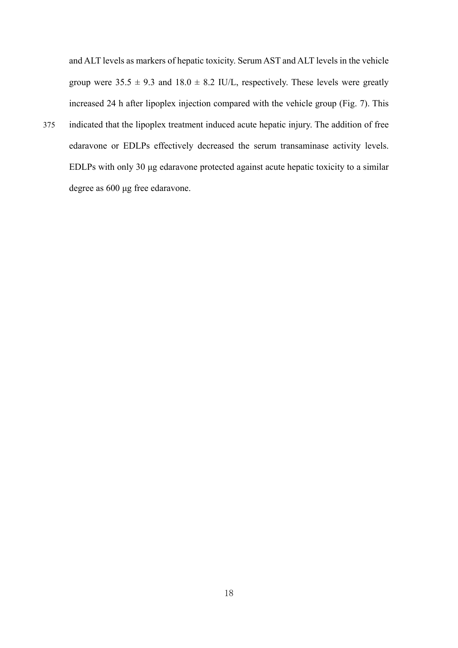and ALT levels as markers of hepatic toxicity. Serum AST and ALT levels in the vehicle group were  $35.5 \pm 9.3$  and  $18.0 \pm 8.2$  IU/L, respectively. These levels were greatly increased 24 h after lipoplex injection compared with the vehicle group (Fig. 7). This

375 indicated that the lipoplex treatment induced acute hepatic injury. The addition of free edaravone or EDLPs effectively decreased the serum transaminase activity levels. EDLPs with only 30 μg edaravone protected against acute hepatic toxicity to a similar degree as 600 μg free edaravone.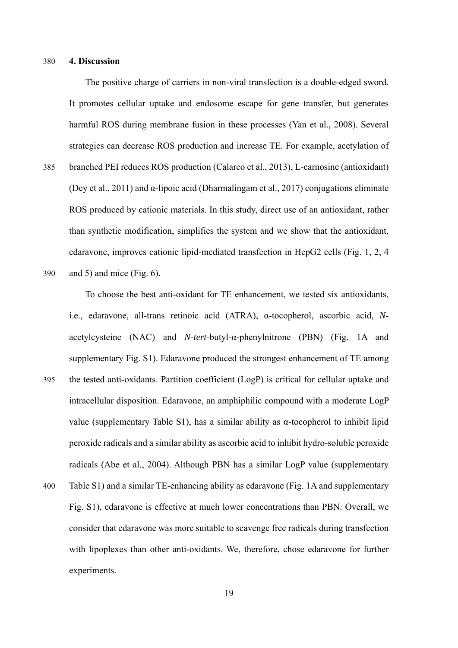#### 380 **4. Discussion**

The positive charge of carriers in non-viral transfection is a double-edged sword. It promotes cellular uptake and endosome escape for gene transfer, but generates harmful ROS during membrane fusion in these processes (Yan et al., 2008). Several strategies can decrease ROS production and increase TE. For example, acetylation of 385 branched PEI reduces ROS production (Calarco et al., 2013), L-carnosine (antioxidant) (Dey et al., 2011) and  $\alpha$ -lipoic acid (Dharmalingam et al., 2017) conjugations eliminate ROS produced by cationic materials. In this study, direct use of an antioxidant, rather than synthetic modification, simplifies the system and we show that the antioxidant, edaravone, improves cationic lipid-mediated transfection in HepG2 cells (Fig. 1, 2, 4 390 and 5) and mice (Fig. 6).

To choose the best anti-oxidant for TE enhancement, we tested six antioxidants, i.e., edaravone, all-trans retinoic acid (ATRA), α-tocopherol, ascorbic acid, *N*acetylcysteine (NAC) and *N*-*tert*-butyl-α-phenylnitrone (PBN) (Fig. 1A and supplementary Fig. S1). Edaravone produced the strongest enhancement of TE among 395 the tested anti-oxidants. Partition coefficient (LogP) is critical for cellular uptake and intracellular disposition. Edaravone, an amphiphilic compound with a moderate LogP value (supplementary Table S1), has a similar ability as α-tocopherol to inhibit lipid peroxide radicals and a similar ability as ascorbic acid to inhibit hydro-soluble peroxide radicals (Abe et al., 2004). Although PBN has a similar LogP value (supplementary 400 Table S1) and a similar TE-enhancing ability as edaravone (Fig. 1A and supplementary Fig. S1), edaravone is effective at much lower concentrations than PBN. Overall, we consider that edaravone was more suitable to scavenge free radicals during transfection

with lipoplexes than other anti-oxidants. We, therefore, chose edaravone for further experiments.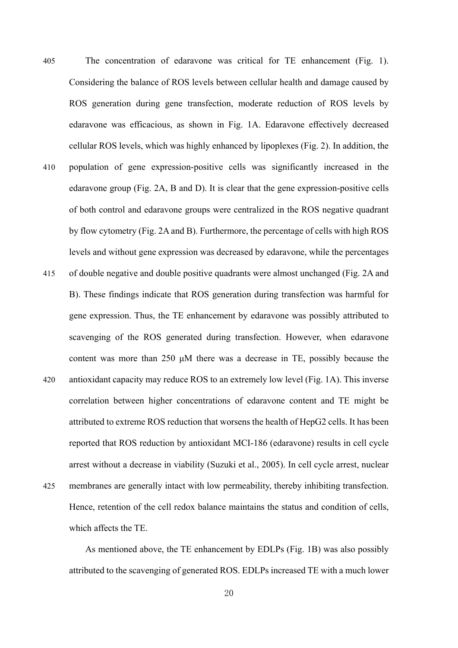405 The concentration of edaravone was critical for TE enhancement (Fig. 1). Considering the balance of ROS levels between cellular health and damage caused by ROS generation during gene transfection, moderate reduction of ROS levels by edaravone was efficacious, as shown in Fig. 1A. Edaravone effectively decreased cellular ROS levels, which was highly enhanced by lipoplexes (Fig. 2). In addition, the 410 population of gene expression-positive cells was significantly increased in the edaravone group (Fig. 2A, B and D). It is clear that the gene expression-positive cells of both control and edaravone groups were centralized in the ROS negative quadrant by flow cytometry (Fig. 2A and B). Furthermore, the percentage of cells with high ROS levels and without gene expression was decreased by edaravone, while the percentages 415 of double negative and double positive quadrants were almost unchanged (Fig. 2A and B). These findings indicate that ROS generation during transfection was harmful for gene expression. Thus, the TE enhancement by edaravone was possibly attributed to scavenging of the ROS generated during transfection. However, when edaravone content was more than 250 μM there was a decrease in TE, possibly because the 420 antioxidant capacity may reduce ROS to an extremely low level (Fig. 1A). This inverse correlation between higher concentrations of edaravone content and TE might be attributed to extreme ROS reduction that worsens the health of HepG2 cells. It has been reported that ROS reduction by antioxidant MCI-186 (edaravone) results in cell cycle arrest without a decrease in viability (Suzuki et al., 2005). In cell cycle arrest, nuclear 425 membranes are generally intact with low permeability, thereby inhibiting transfection.

Hence, retention of the cell redox balance maintains the status and condition of cells, which affects the TE.

As mentioned above, the TE enhancement by EDLPs (Fig. 1B) was also possibly attributed to the scavenging of generated ROS. EDLPs increased TE with a much lower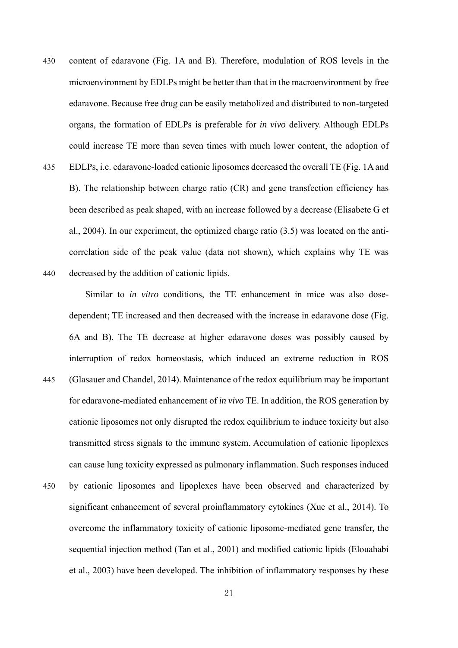430 content of edaravone (Fig. 1A and B). Therefore, modulation of ROS levels in the microenvironment by EDLPs might be better than that in the macroenvironment by free edaravone. Because free drug can be easily metabolized and distributed to non-targeted organs, the formation of EDLPs is preferable for *in vivo* delivery. Although EDLPs could increase TE more than seven times with much lower content, the adoption of 435 EDLPs, i.e. edaravone-loaded cationic liposomes decreased the overall TE (Fig. 1A and B). The relationship between charge ratio (CR) and gene transfection efficiency has been described as peak shaped, with an increase followed by a decrease (Elisabete G et

correlation side of the peak value (data not shown), which explains why TE was 440 decreased by the addition of cationic lipids.

al., 2004). In our experiment, the optimized charge ratio (3.5) was located on the anti-

Similar to *in vitro* conditions, the TE enhancement in mice was also dosedependent; TE increased and then decreased with the increase in edaravone dose (Fig. 6A and B). The TE decrease at higher edaravone doses was possibly caused by interruption of redox homeostasis, which induced an extreme reduction in ROS 445 (Glasauer and Chandel, 2014). Maintenance of the redox equilibrium may be important for edaravone-mediated enhancement of *in vivo* TE. In addition, the ROS generation by cationic liposomes not only disrupted the redox equilibrium to induce toxicity but also transmitted stress signals to the immune system. Accumulation of cationic lipoplexes can cause lung toxicity expressed as pulmonary inflammation. Such responses induced 450 by cationic liposomes and lipoplexes have been observed and characterized by significant enhancement of several proinflammatory cytokines (Xue et al., 2014). To

sequential injection method (Tan et al., 2001) and modified cationic lipids (Elouahabi et al., 2003) have been developed. The inhibition of inflammatory responses by these

overcome the inflammatory toxicity of cationic liposome-mediated gene transfer, the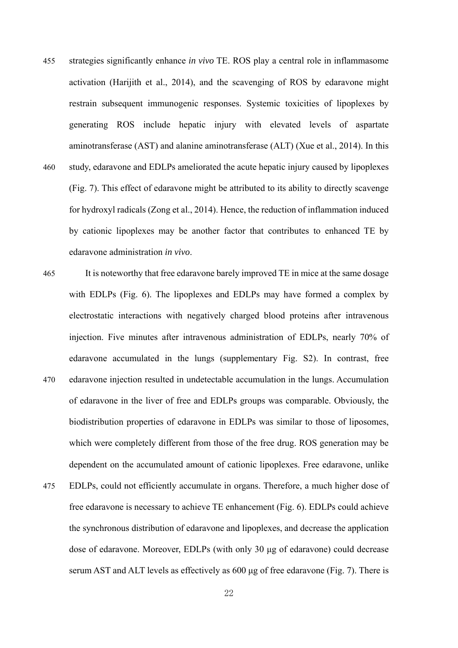- 455 strategies significantly enhance *in vivo* TE. ROS play a central role in inflammasome activation (Harijith et al., 2014), and the scavenging of ROS by edaravone might restrain subsequent immunogenic responses. Systemic toxicities of lipoplexes by generating ROS include hepatic injury with elevated levels of aspartate aminotransferase (AST) and alanine aminotransferase (ALT) (Xue et al., 2014). In this 460 study, edaravone and EDLPs ameliorated the acute hepatic injury caused by lipoplexes (Fig. 7). This effect of edaravone might be attributed to its ability to directly scavenge for hydroxyl radicals (Zong et al., 2014). Hence, the reduction of inflammation induced by cationic lipoplexes may be another factor that contributes to enhanced TE by edaravone administration *in vivo*.
- 465 It is noteworthy that free edaravone barely improved TE in mice at the same dosage with EDLPs (Fig. 6). The lipoplexes and EDLPs may have formed a complex by electrostatic interactions with negatively charged blood proteins after intravenous injection. Five minutes after intravenous administration of EDLPs, nearly 70% of edaravone accumulated in the lungs (supplementary Fig. S2). In contrast, free 470 edaravone injection resulted in undetectable accumulation in the lungs. Accumulation of edaravone in the liver of free and EDLPs groups was comparable. Obviously, the biodistribution properties of edaravone in EDLPs was similar to those of liposomes, which were completely different from those of the free drug. ROS generation may be dependent on the accumulated amount of cationic lipoplexes. Free edaravone, unlike 475 EDLPs, could not efficiently accumulate in organs. Therefore, a much higher dose of free edaravone is necessary to achieve TE enhancement (Fig. 6). EDLPs could achieve
	- the synchronous distribution of edaravone and lipoplexes, and decrease the application dose of edaravone. Moreover, EDLPs (with only 30 μg of edaravone) could decrease serum AST and ALT levels as effectively as 600 μg of free edaravone (Fig. 7). There is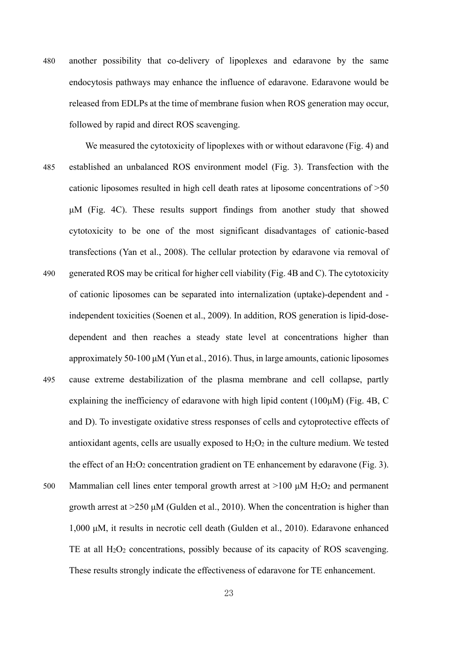- 480 another possibility that co-delivery of lipoplexes and edaravone by the same endocytosis pathways may enhance the influence of edaravone. Edaravone would be released from EDLPs at the time of membrane fusion when ROS generation may occur, followed by rapid and direct ROS scavenging.
- We measured the cytotoxicity of lipoplexes with or without edaravone (Fig. 4) and 485 established an unbalanced ROS environment model (Fig. 3). Transfection with the cationic liposomes resulted in high cell death rates at liposome concentrations of >50 μM (Fig. 4C). These results support findings from another study that showed cytotoxicity to be one of the most significant disadvantages of cationic-based transfections (Yan et al., 2008). The cellular protection by edaravone via removal of 490 generated ROS may be critical for higher cell viability (Fig. 4B and C). The cytotoxicity of cationic liposomes can be separated into internalization (uptake)-dependent and independent toxicities (Soenen et al., 2009). In addition, ROS generation is lipid-dosedependent and then reaches a steady state level at concentrations higher than approximately 50-100 μM (Yun et al., 2016). Thus, in large amounts, cationic liposomes 495 cause extreme destabilization of the plasma membrane and cell collapse, partly explaining the inefficiency of edaravone with high lipid content (100μM) (Fig. 4B, C and D). To investigate oxidative stress responses of cells and cytoprotective effects of antioxidant agents, cells are usually exposed to  $H_2O_2$  in the culture medium. We tested the effect of an  $H_2O_2$  concentration gradient on TE enhancement by edaravone (Fig. 3).
- 500 Mammalian cell lines enter temporal growth arrest at  $>100$   $\mu$ M H<sub>2</sub>O<sub>2</sub> and permanent growth arrest at >250 μM (Gulden et al., 2010). When the concentration is higher than 1,000 μM, it results in necrotic cell death (Gulden et al., 2010). Edaravone enhanced TE at all H<sub>2</sub>O<sub>2</sub> concentrations, possibly because of its capacity of ROS scavenging. These results strongly indicate the effectiveness of edaravone for TE enhancement.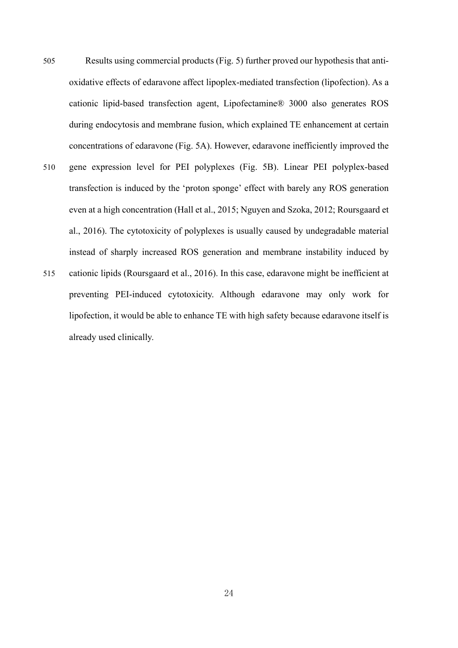505 Results using commercial products (Fig. 5) further proved our hypothesis that antioxidative effects of edaravone affect lipoplex-mediated transfection (lipofection). As a cationic lipid-based transfection agent, Lipofectamine® 3000 also generates ROS during endocytosis and membrane fusion, which explained TE enhancement at certain concentrations of edaravone (Fig. 5A). However, edaravone inefficiently improved the 510 gene expression level for PEI polyplexes (Fig. 5B). Linear PEI polyplex-based transfection is induced by the 'proton sponge' effect with barely any ROS generation even at a high concentration (Hall et al., 2015; Nguyen and Szoka, 2012; Roursgaard et al., 2016). The cytotoxicity of polyplexes is usually caused by undegradable material instead of sharply increased ROS generation and membrane instability induced by 515 cationic lipids (Roursgaard et al., 2016). In this case, edaravone might be inefficient at preventing PEI-induced cytotoxicity. Although edaravone may only work for lipofection, it would be able to enhance TE with high safety because edaravone itself is already used clinically.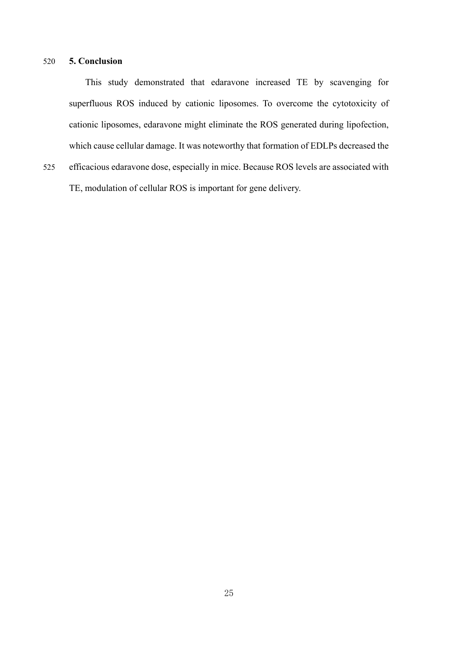#### 520 **5. Conclusion**

This study demonstrated that edaravone increased TE by scavenging for superfluous ROS induced by cationic liposomes. To overcome the cytotoxicity of cationic liposomes, edaravone might eliminate the ROS generated during lipofection, which cause cellular damage. It was noteworthy that formation of EDLPs decreased the

525 efficacious edaravone dose, especially in mice. Because ROS levels are associated with TE, modulation of cellular ROS is important for gene delivery.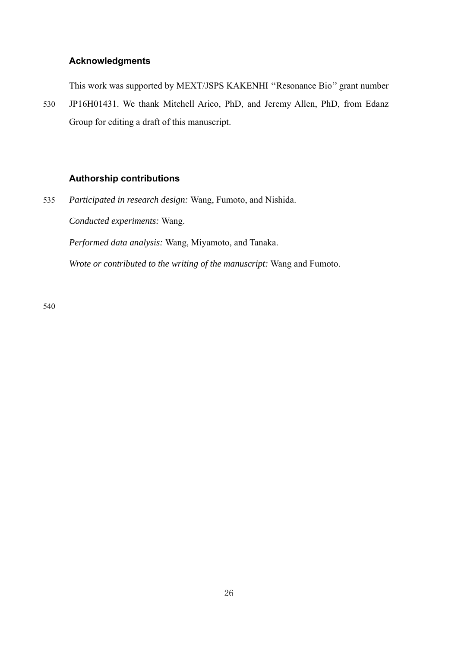## **Acknowledgments**

This work was supported by MEXT/JSPS KAKENHI ''Resonance Bio'' grant number

530 JP16H01431. We thank Mitchell Arico, PhD, and Jeremy Allen, PhD, from Edanz Group for editing a draft of this manuscript.

## **Authorship contributions**

535 *Participated in research design:* Wang, Fumoto, and Nishida. *Conducted experiments:* Wang.

*Performed data analysis:* Wang, Miyamoto, and Tanaka.

*Wrote or contributed to the writing of the manuscript:* Wang and Fumoto.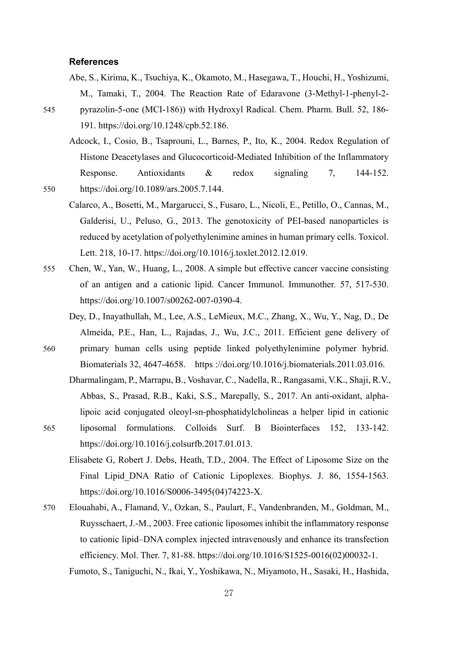#### **References**

- Abe, S., Kirima, K., Tsuchiya, K., Okamoto, M., Hasegawa, T., Houchi, H., Yoshizumi, M., Tamaki, T., 2004. The Reaction Rate of Edaravone (3-Methyl-1-phenyl-2-
- 545 pyrazolin-5-one (MCI-186)) with Hydroxyl Radical. Chem. Pharm. Bull. 52, 186- 191. https://doi.org/10.1248/cpb.52.186.
	- Adcock, I., Cosio, B., Tsaprouni, L., Barnes, P., Ito, K., 2004. Redox Regulation of Histone Deacetylases and Glucocorticoid-Mediated Inhibition of the Inflammatory Response. Antioxidants & redox signaling 7, 144-152.
- 550 https://doi.org/10.1089/ars.2005.7.144.
	- Calarco, A., Bosetti, M., Margarucci, S., Fusaro, L., Nicoli, E., Petillo, O., Cannas, M., Galderisi, U., Peluso, G., 2013. The genotoxicity of PEI-based nanoparticles is reduced by acetylation of polyethylenimine amines in human primary cells. Toxicol. Lett. 218, 10-17. https://doi.org/10.1016/j.toxlet.2012.12.019.
- 555 Chen, W., Yan, W., Huang, L., 2008. A simple but effective cancer vaccine consisting of an antigen and a cationic lipid. Cancer Immunol. Immunother. 57, 517-530. https://doi.org/10.1007/s00262-007-0390-4.
	- Dey, D., Inayathullah, M., Lee, A.S., LeMieux, M.C., Zhang, X., Wu, Y., Nag, D., De Almeida, P.E., Han, L., Rajadas, J., Wu, J.C., 2011. Efficient gene delivery of
- 560 primary human cells using peptide linked polyethylenimine polymer hybrid. Biomaterials 32, 4647-4658. https ://doi.org/10.1016/j.biomaterials.2011.03.016.
	- Dharmalingam, P., Marrapu, B., Voshavar, C., Nadella, R., Rangasami, V.K., Shaji, R.V., Abbas, S., Prasad, R.B., Kaki, S.S., Marepally, S., 2017. An anti-oxidant, alphalipoic acid conjugated oleoyl-sn-phosphatidylcholineas a helper lipid in cationic
- 565 liposomal formulations. Colloids Surf. B Biointerfaces 152, 133-142. https://doi.org/10.1016/j.colsurfb.2017.01.013.
	- Elisabete G, Robert J. Debs, Heath, T.D., 2004. The Effect of Liposome Size on the Final Lipid\_DNA Ratio of Cationic Lipoplexes. Biophys. J. 86, 1554-1563. https://doi.org/10.1016/S0006-3495(04)74223-X.
- 570 Elouahabi, A., Flamand, V., Ozkan, S., Paulart, F., Vandenbranden, M., Goldman, M., Ruysschaert, J.-M., 2003. Free cationic liposomes inhibit the inflammatory response to cationic lipid–DNA complex injected intravenously and enhance its transfection efficiency. Mol. Ther. 7, 81-88. https://doi.org/10.1016/S1525-0016(02)00032-1.

Fumoto, S., Taniguchi, N., Ikai, Y., Yoshikawa, N., Miyamoto, H., Sasaki, H., Hashida,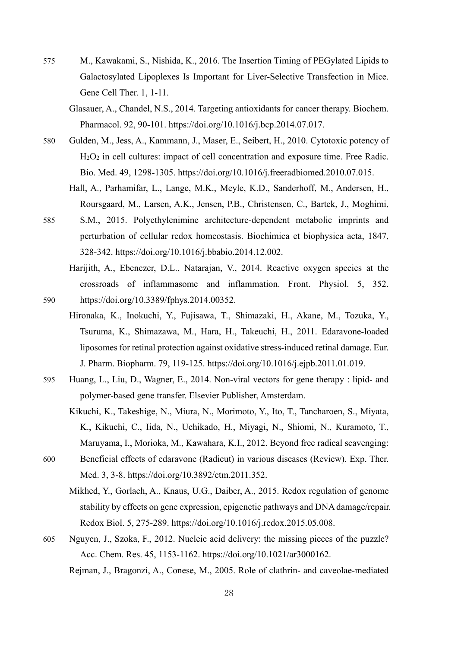- 575 M., Kawakami, S., Nishida, K., 2016. The Insertion Timing of PEGylated Lipids to Galactosylated Lipoplexes Is Important for Liver-Selective Transfection in Mice. Gene Cell Ther. 1, 1-11.
	- Glasauer, A., Chandel, N.S., 2014. Targeting antioxidants for cancer therapy. Biochem. Pharmacol. 92, 90-101. https://doi.org/10.1016/j.bcp.2014.07.017.
- 580 Gulden, M., Jess, A., Kammann, J., Maser, E., Seibert, H., 2010. Cytotoxic potency of H2O2 in cell cultures: impact of cell concentration and exposure time. Free Radic. Bio. Med. 49, 1298-1305. https://doi.org/10.1016/j.freeradbiomed.2010.07.015.
	- Hall, A., Parhamifar, L., Lange, M.K., Meyle, K.D., Sanderhoff, M., Andersen, H., Roursgaard, M., Larsen, A.K., Jensen, P.B., Christensen, C., Bartek, J., Moghimi,
- 585 S.M., 2015. Polyethylenimine architecture-dependent metabolic imprints and perturbation of cellular redox homeostasis. Biochimica et biophysica acta, 1847, 328-342. https://doi.org/10.1016/j.bbabio.2014.12.002.
- Harijith, A., Ebenezer, D.L., Natarajan, V., 2014. Reactive oxygen species at the crossroads of inflammasome and inflammation. Front. Physiol. 5, 352. 590 https://doi.org/10.3389/fphys.2014.00352.
	- Hironaka, K., Inokuchi, Y., Fujisawa, T., Shimazaki, H., Akane, M., Tozuka, Y., Tsuruma, K., Shimazawa, M., Hara, H., Takeuchi, H., 2011. Edaravone-loaded liposomes for retinal protection against oxidative stress-induced retinal damage. Eur. J. Pharm. Biopharm. 79, 119-125. https://doi.org/10.1016/j.ejpb.2011.01.019.
- 595 Huang, L., Liu, D., Wagner, E., 2014. Non-viral vectors for gene therapy : lipid- and polymer-based gene transfer. Elsevier Publisher, Amsterdam.
	- Kikuchi, K., Takeshige, N., Miura, N., Morimoto, Y., Ito, T., Tancharoen, S., Miyata, K., Kikuchi, C., Iida, N., Uchikado, H., Miyagi, N., Shiomi, N., Kuramoto, T., Maruyama, I., Morioka, M., Kawahara, K.I., 2012. Beyond free radical scavenging:
- 600 Beneficial effects of edaravone (Radicut) in various diseases (Review). Exp. Ther. Med. 3, 3-8. https://doi.org/10.3892/etm.2011.352.
	- Mikhed, Y., Gorlach, A., Knaus, U.G., Daiber, A., 2015. Redox regulation of genome stability by effects on gene expression, epigenetic pathways and DNA damage/repair. Redox Biol. 5, 275-289. https://doi.org/10.1016/j.redox.2015.05.008.
- 605 Nguyen, J., Szoka, F., 2012. Nucleic acid delivery: the missing pieces of the puzzle? Acc. Chem. Res. 45, 1153-1162. https://doi.org/10.1021/ar3000162.

Rejman, J., Bragonzi, A., Conese, M., 2005. Role of clathrin- and caveolae-mediated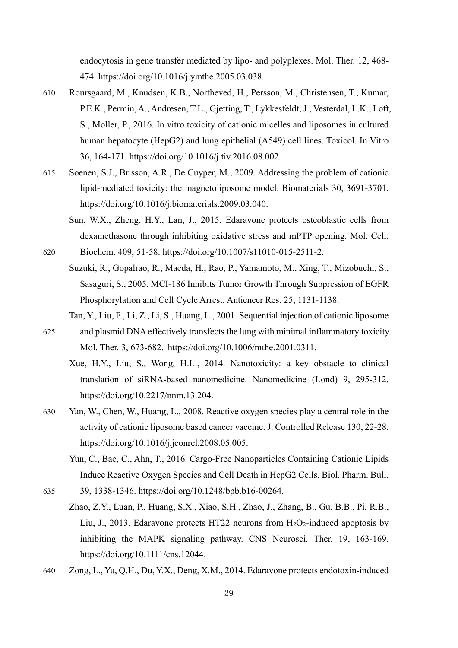endocytosis in gene transfer mediated by lipo- and polyplexes. Mol. Ther. 12, 468- 474. https://doi.org/10.1016/j.ymthe.2005.03.038.

- 610 Roursgaard, M., Knudsen, K.B., Northeved, H., Persson, M., Christensen, T., Kumar, P.E.K., Permin, A., Andresen, T.L., Gjetting, T., Lykkesfeldt, J., Vesterdal, L.K., Loft, S., Moller, P., 2016. In vitro toxicity of cationic micelles and liposomes in cultured human hepatocyte (HepG2) and lung epithelial (A549) cell lines. Toxicol. In Vitro 36, 164-171. https://doi.org/10.1016/j.tiv.2016.08.002.
- 615 Soenen, S.J., Brisson, A.R., De Cuyper, M., 2009. Addressing the problem of cationic lipid-mediated toxicity: the magnetoliposome model. Biomaterials 30, 3691-3701. https://doi.org/10.1016/j.biomaterials.2009.03.040.
	- Sun, W.X., Zheng, H.Y., Lan, J., 2015. Edaravone protects osteoblastic cells from dexamethasone through inhibiting oxidative stress and mPTP opening. Mol. Cell.

620 Biochem. 409, 51-58. https://doi.org/10.1007/s11010-015-2511-2.

- Suzuki, R., Gopalrao, R., Maeda, H., Rao, P., Yamamoto, M., Xing, T., Mizobuchi, S., Sasaguri, S., 2005. MCI-186 Inhibits Tumor Growth Through Suppression of EGFR Phosphorylation and Cell Cycle Arrest. Anticncer Res. 25, 1131-1138.
	- Tan, Y., Liu, F., Li, Z., Li, S., Huang, L., 2001. Sequential injection of cationic liposome
- 625 and plasmid DNA effectively transfects the lung with minimal inflammatory toxicity. Mol. Ther. 3, 673-682. https://doi.org/10.1006/mthe.2001.0311.
	- Xue, H.Y., Liu, S., Wong, H.L., 2014. Nanotoxicity: a key obstacle to clinical translation of siRNA-based nanomedicine. Nanomedicine (Lond) 9, 295-312. https://doi.org/10.2217/nnm.13.204.
- 630 Yan, W., Chen, W., Huang, L., 2008. Reactive oxygen species play a central role in the activity of cationic liposome based cancer vaccine. J. Controlled Release 130, 22-28. https://doi.org/10.1016/j.jconrel.2008.05.005.
	- Yun, C., Bae, C., Ahn, T., 2016. Cargo-Free Nanoparticles Containing Cationic Lipids Induce Reactive Oxygen Species and Cell Death in HepG2 Cells. Biol. Pharm. Bull.

635 39, 1338-1346. https://doi.org/10.1248/bpb.b16-00264.

- Zhao, Z.Y., Luan, P., Huang, S.X., Xiao, S.H., Zhao, J., Zhang, B., Gu, B.B., Pi, R.B., Liu, J., 2013. Edaravone protects HT22 neurons from  $H_2O_2$ -induced apoptosis by inhibiting the MAPK signaling pathway. CNS Neurosci. Ther. 19, 163-169. https://doi.org/10.1111/cns.12044.
- 640 Zong, L., Yu, Q.H., Du, Y.X., Deng, X.M., 2014. Edaravone protects endotoxin-induced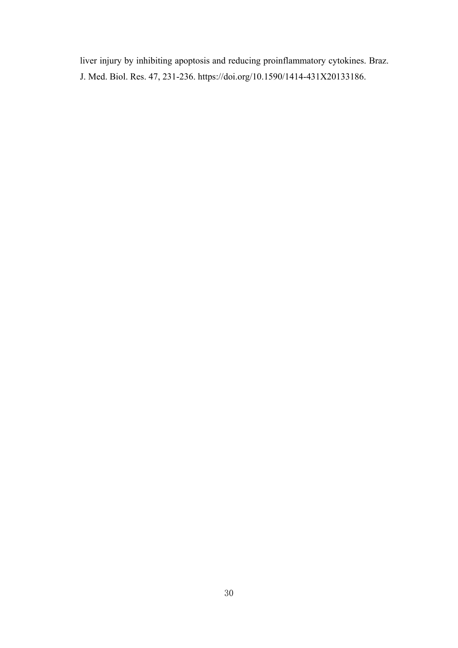liver injury by inhibiting apoptosis and reducing proinflammatory cytokines. Braz. J. Med. Biol. Res. 47, 231-236. https://doi.org/10.1590/1414-431X20133186.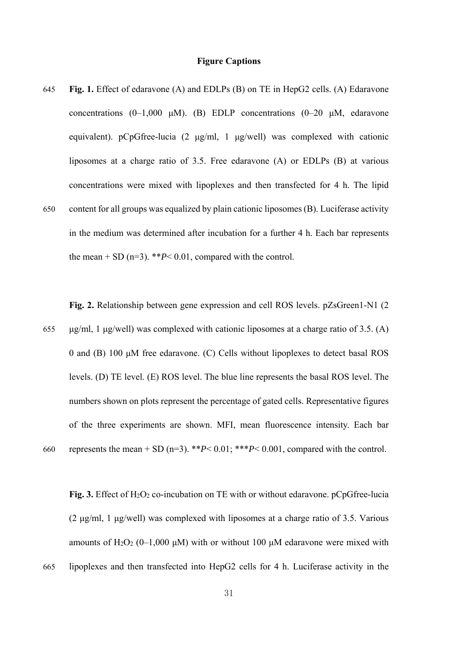#### **Figure Captions**

645 **Fig. 1.** Effect of edaravone (A) and EDLPs (B) on TE in HepG2 cells. (A) Edaravone concentrations (0–1,000 μM). (B) EDLP concentrations (0–20 μM, edaravone equivalent). pCpGfree-lucia (2 μg/ml, 1 μg/well) was complexed with cationic liposomes at a charge ratio of 3.5. Free edaravone (A) or EDLPs (B) at various concentrations were mixed with lipoplexes and then transfected for 4 h. The lipid 650 content for all groups was equalized by plain cationic liposomes (B). Luciferase activity in the medium was determined after incubation for a further 4 h. Each bar represents

the mean  $+$  SD (n=3). \*\* $P$  < 0.01, compared with the control.

**Fig. 2.** Relationship between gene expression and cell ROS levels. pZsGreen1-N1 (2

655 μg/ml, 1 μg/well) was complexed with cationic liposomes at a charge ratio of 3.5. (A) 0 and (B) 100 μM free edaravone. (C) Cells without lipoplexes to detect basal ROS levels. (D) TE level. (E) ROS level. The blue line represents the basal ROS level. The numbers shown on plots represent the percentage of gated cells. Representative figures of the three experiments are shown. MFI, mean fluorescence intensity. Each bar 660 represents the mean + SD (n=3). \*\* $P$ < 0.01; \*\* $P$  < 0.001, compared with the control.

Fig. 3. Effect of H<sub>2</sub>O<sub>2</sub> co-incubation on TE with or without edaravone. pCpGfree-lucia (2 μg/ml, 1 μg/well) was complexed with liposomes at a charge ratio of 3.5. Various amounts of H<sub>2</sub>O<sub>2</sub> (0–1,000 μM) with or without 100 μM edaravone were mixed with

665 lipoplexes and then transfected into HepG2 cells for 4 h. Luciferase activity in the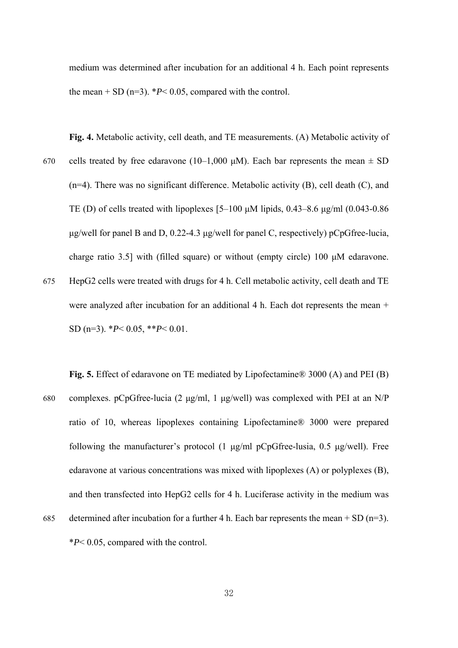medium was determined after incubation for an additional 4 h. Each point represents the mean  $+$  SD (n=3).  $*P$  < 0.05, compared with the control.

- **Fig. 4.** Metabolic activity, cell death, and TE measurements. (A) Metabolic activity of 670 cells treated by free edaravone (10–1,000  $\mu$ M). Each bar represents the mean  $\pm$  SD (n=4). There was no significant difference. Metabolic activity (B), cell death (C), and TE (D) of cells treated with lipoplexes [5–100 μM lipids, 0.43–8.6 μg/ml (0.043-0.86 μg/well for panel B and D, 0.22-4.3 μg/well for panel C, respectively) pCpGfree-lucia, charge ratio 3.5] with (filled square) or without (empty circle) 100 μM edaravone. 675 HepG2 cells were treated with drugs for 4 h. Cell metabolic activity, cell death and TE were analyzed after incubation for an additional 4 h. Each dot represents the mean + SD (n=3). \**P*< 0.05, \*\**P*< 0.01.
- **Fig. 5.** Effect of edaravone on TE mediated by Lipofectamine® 3000 (A) and PEI (B) 680 complexes. pCpGfree-lucia (2 μg/ml, 1 μg/well) was complexed with PEI at an N/P ratio of 10, whereas lipoplexes containing Lipofectamine® 3000 were prepared following the manufacturer's protocol (1  $\mu$ g/ml pCpGfree-lusia, 0.5  $\mu$ g/well). Free edaravone at various concentrations was mixed with lipoplexes (A) or polyplexes (B), and then transfected into HepG2 cells for 4 h. Luciferase activity in the medium was 685 determined after incubation for a further 4 h. Each bar represents the mean + SD (n=3). \**P*< 0.05, compared with the control.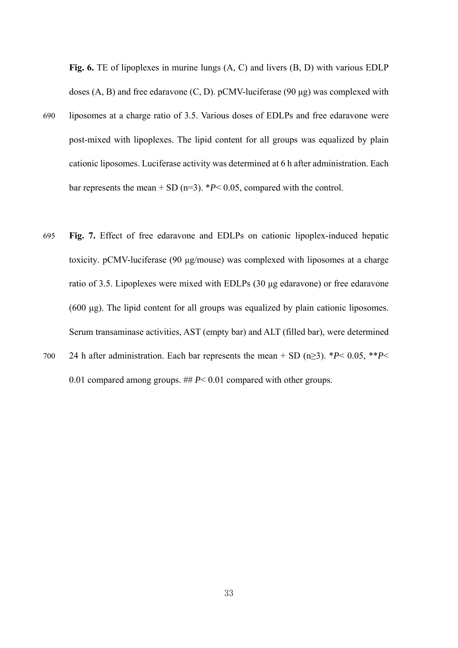**Fig. 6.** TE of lipoplexes in murine lungs (A, C) and livers (B, D) with various EDLP doses  $(A, B)$  and free edaravone  $(C, D)$ . pCMV-luciferase  $(90 \mu g)$  was complexed with

- 690 liposomes at a charge ratio of 3.5. Various doses of EDLPs and free edaravone were post-mixed with lipoplexes. The lipid content for all groups was equalized by plain cationic liposomes. Luciferase activity was determined at 6 h after administration. Each bar represents the mean  $+$  SD (n=3).  $*P$  < 0.05, compared with the control.
- 695 **Fig. 7.** Effect of free edaravone and EDLPs on cationic lipoplex-induced hepatic toxicity. pCMV-luciferase (90 μg/mouse) was complexed with liposomes at a charge ratio of 3.5. Lipoplexes were mixed with EDLPs (30 μg edaravone) or free edaravone (600 μg). The lipid content for all groups was equalized by plain cationic liposomes. Serum transaminase activities, AST (empty bar) and ALT (filled bar), were determined
- 700 24 h after administration. Each bar represents the mean + SD (n≥3). \**P*< 0.05, \*\**P*< 0.01 compared among groups. ## *P*< 0.01 compared with other groups.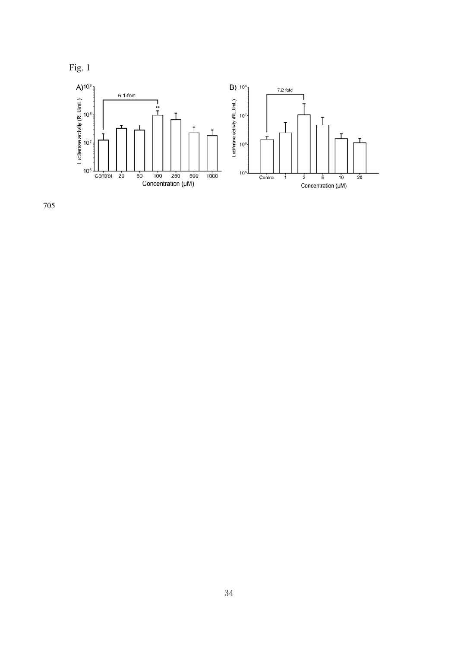



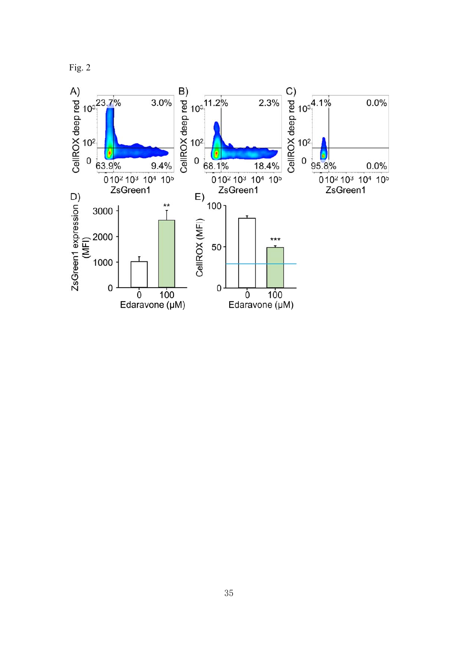

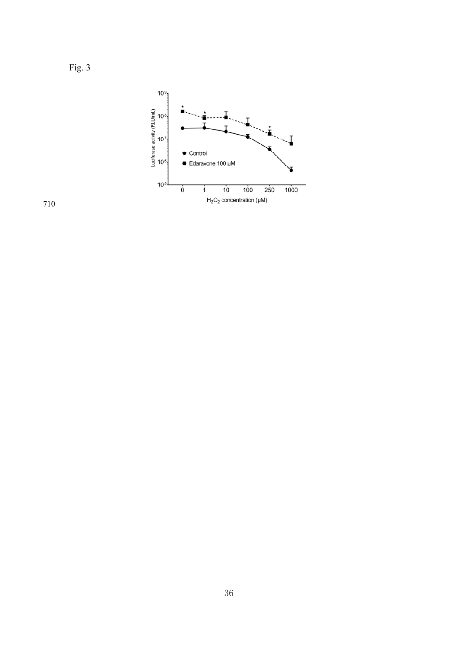



Fig. 3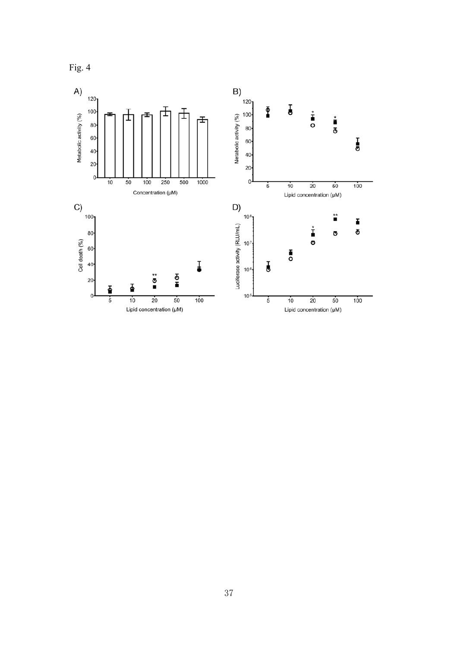

37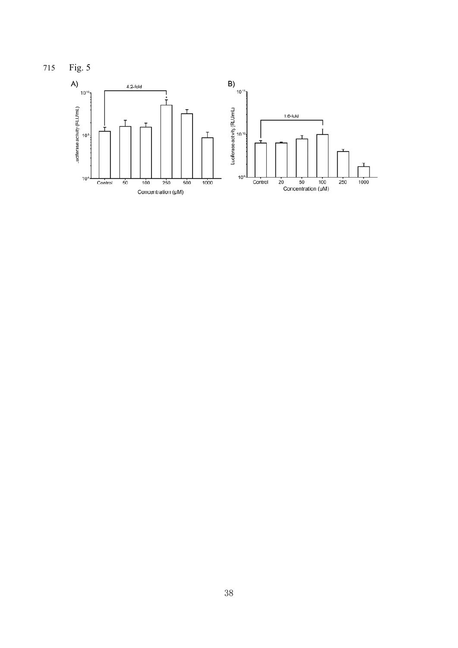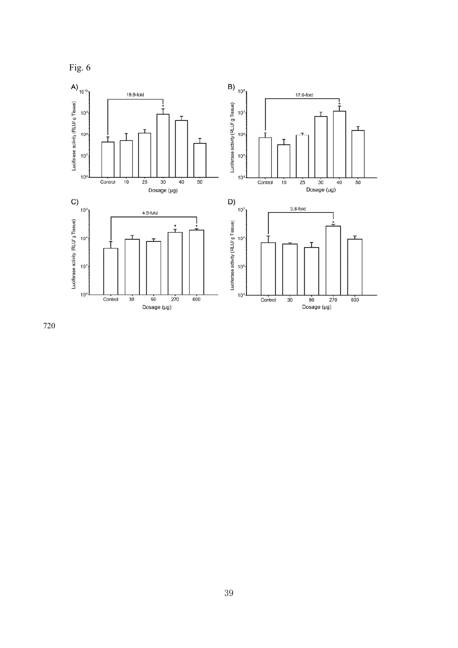

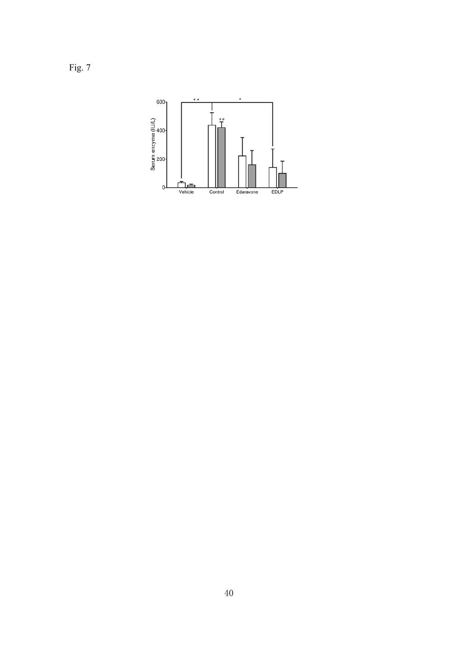Fig. 7

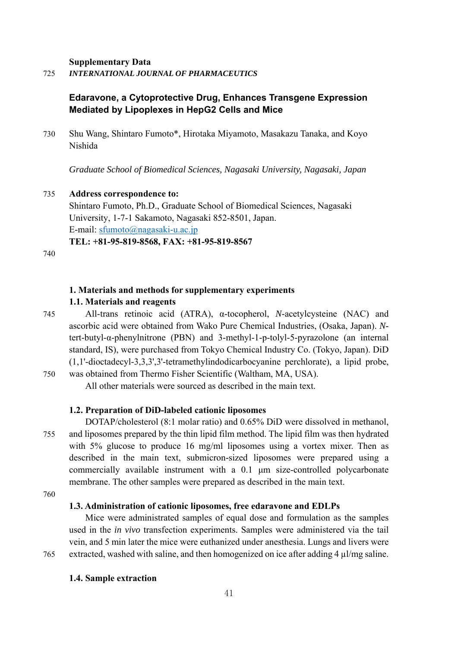**Supplementary Data** 

725 *INTERNATIONAL JOURNAL OF PHARMACEUTICS* 

## **Edaravone, a Cytoprotective Drug, Enhances Transgene Expression Mediated by Lipoplexes in HepG2 Cells and Mice**

730 Shu Wang, Shintaro Fumoto\*, Hirotaka Miyamoto, Masakazu Tanaka, and Koyo Nishida

*Graduate School of Biomedical Sciences, Nagasaki University, Nagasaki, Japan* 

#### 735 **Address correspondence to:**

Shintaro Fumoto, Ph.D., Graduate School of Biomedical Sciences, Nagasaki University, 1-7-1 Sakamoto, Nagasaki 852-8501, Japan. E-mail: sfumoto@nagasaki-u.ac.jp **TEL: +81-95-819-8568, FAX: +81-95-819-8567**

740

## **1. Materials and methods for supplementary experiments**

#### **1.1. Materials and reagents**

745 All-trans retinoic acid (ATRA), α-tocopherol, *N*-acetylcysteine (NAC) and ascorbic acid were obtained from Wako Pure Chemical Industries, (Osaka, Japan). *N*tert-butyl-α-phenylnitrone (PBN) and 3-methyl-1-p-tolyl-5-pyrazolone (an internal standard, IS), were purchased from Tokyo Chemical Industry Co. (Tokyo, Japan). DiD (1,1'-dioctadecyl-3,3,3',3'-tetramethylindodicarbocyanine perchlorate), a lipid probe, 750 was obtained from Thermo Fisher Scientific (Waltham, MA, USA).

All other materials were sourced as described in the main text.

#### **1.2. Preparation of DiD-labeled cationic liposomes**

DOTAP/cholesterol (8:1 molar ratio) and 0.65% DiD were dissolved in methanol, 755 and liposomes prepared by the thin lipid film method. The lipid film was then hydrated with 5% glucose to produce 16 mg/ml liposomes using a vortex mixer. Then as described in the main text, submicron-sized liposomes were prepared using a commercially available instrument with a 0.1 μm size-controlled polycarbonate membrane. The other samples were prepared as described in the main text.

760

#### **1.3. Administration of cationic liposomes, free edaravone and EDLPs**

Mice were administrated samples of equal dose and formulation as the samples used in the *in vivo* transfection experiments. Samples were administered via the tail vein, and 5 min later the mice were euthanized under anesthesia. Lungs and livers were 765 extracted, washed with saline, and then homogenized on ice after adding 4 µl/mg saline.

**1.4. Sample extraction**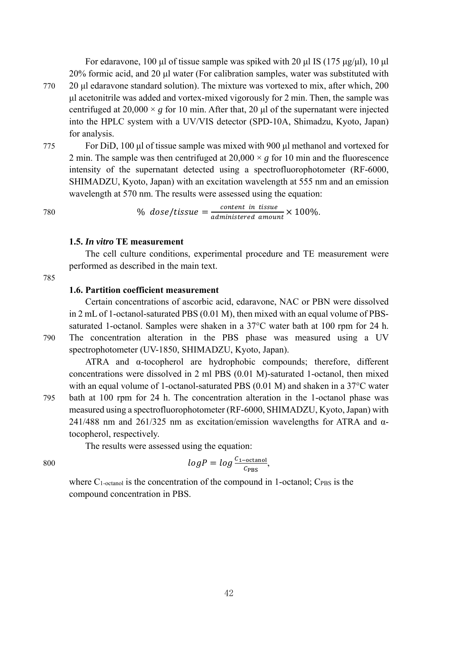For edaravone, 100 μl of tissue sample was spiked with 20 μl IS (175 μg/μl), 10 μl 20% formic acid, and 20 μl water (For calibration samples, water was substituted with 770 20 μl edaravone standard solution). The mixture was vortexed to mix, after which, 200 μl acetonitrile was added and vortex-mixed vigorously for 2 min. Then, the sample was centrifuged at  $20,000 \times g$  for 10 min. After that, 20 µl of the supernatant were injected into the HPLC system with a UV/VIS detector (SPD-10A, Shimadzu, Kyoto, Japan) for analysis.

775 For DiD, 100 μl of tissue sample was mixed with 900 μl methanol and vortexed for 2 min. The sample was then centrifuged at  $20,000 \times g$  for 10 min and the fluorescence intensity of the supernatant detected using a spectrofluorophotometer (RF-6000, SHIMADZU, Kyoto, Japan) with an excitation wavelength at 555 nm and an emission wavelength at 570 nm. The results were assessed using the equation:

780  $\%$  dose/tissue  $=\frac{content \text{ in tissue}}{administered \text{ amount}} \times 100\%.$ 

#### **1.5.** *In vitro* **TE measurement**

The cell culture conditions, experimental procedure and TE measurement were performed as described in the main text.

785

#### **1.6. Partition coefficient measurement**

Certain concentrations of ascorbic acid, edaravone, NAC or PBN were dissolved in 2 mL of 1-octanol-saturated PBS (0.01 M), then mixed with an equal volume of PBSsaturated 1-octanol. Samples were shaken in a 37°C water bath at 100 rpm for 24 h. 790 The concentration alteration in the PBS phase was measured using a UV spectrophotometer (UV-1850, SHIMADZU, Kyoto, Japan).

ATRA and  $\alpha$ -tocopherol are hydrophobic compounds; therefore, different concentrations were dissolved in 2 ml PBS (0.01 M)-saturated 1-octanol, then mixed with an equal volume of 1-octanol-saturated PBS (0.01 M) and shaken in a 37<sup>o</sup>C water 795 bath at 100 rpm for 24 h. The concentration alteration in the 1-octanol phase was measured using a spectrofluorophotometer (RF-6000, SHIMADZU, Kyoto, Japan) with

241/488 nm and 261/325 nm as excitation/emission wavelengths for ATRA and αtocopherol, respectively.

The results were assessed using the equation:

$$
log P = log \frac{c_{1-\text{octanol}}}{c_{\text{PBS}}},
$$

where  $C_1$ -octanol is the concentration of the compound in 1-octanol; C<sub>PBS</sub> is the compound concentration in PBS.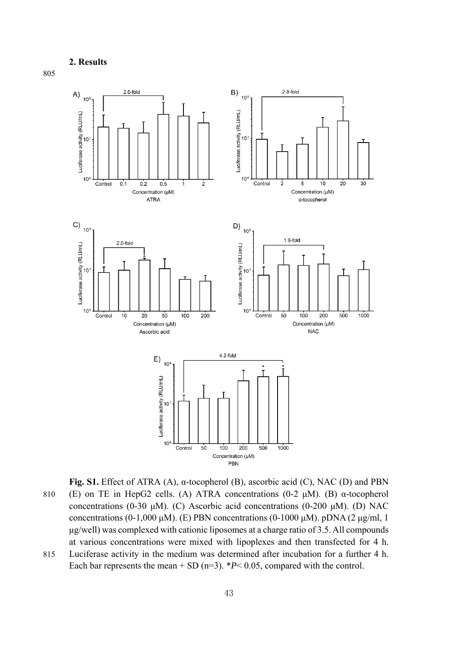## **2. Results**



**Fig. S1.** Effect of ATRA (A), α-tocopherol (B), ascorbic acid (C), NAC (D) and PBN 810 (E) on TE in HepG2 cells. (A) ATRA concentrations (0-2 μM). (B) α-tocopherol concentrations (0-30 μM). (C) Ascorbic acid concentrations (0-200 μM). (D) NAC concentrations (0-1,000 μM). (E) PBN concentrations (0-1000 μM). pDNA (2 μg/ml, 1 μg/well) was complexed with cationic liposomes at a charge ratio of 3.5. All compounds at various concentrations were mixed with lipoplexes and then transfected for 4 h. 815 Luciferase activity in the medium was determined after incubation for a further 4 h.

Each bar represents the mean  $+$  SD (n=3).  $*P$  < 0.05, compared with the control.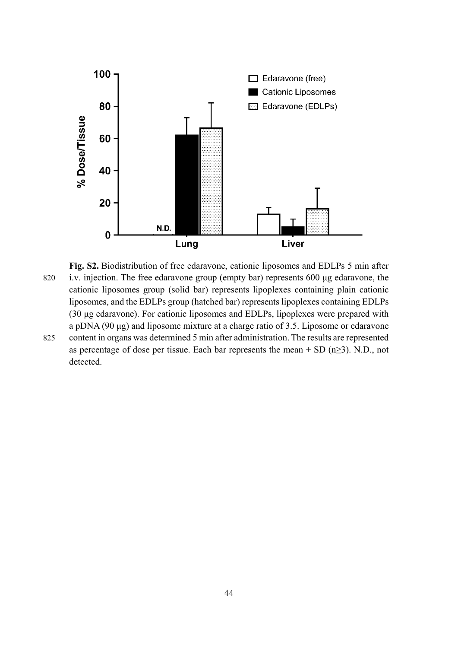

**Fig. S2.** Biodistribution of free edaravone, cationic liposomes and EDLPs 5 min after 820 i.v. injection. The free edaravone group (empty bar) represents 600 μg edaravone, the cationic liposomes group (solid bar) represents lipoplexes containing plain cationic liposomes, and the EDLPs group (hatched bar) represents lipoplexes containing EDLPs (30 μg edaravone). For cationic liposomes and EDLPs, lipoplexes were prepared with a pDNA (90 μg) and liposome mixture at a charge ratio of 3.5. Liposome or edaravone 825 content in organs was determined 5 min after administration. The results are represented as percentage of dose per tissue. Each bar represents the mean  $+$  SD (n $\geq$ 3). N.D., not detected.